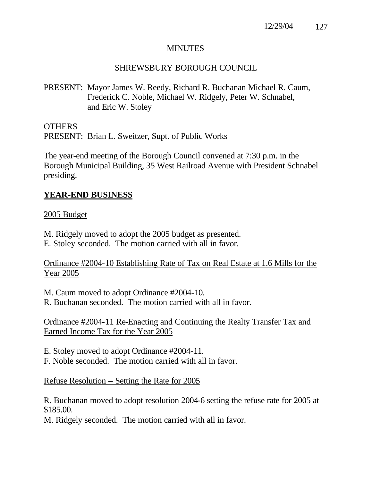### MINUTES

## SHREWSBURY BOROUGH COUNCIL

PRESENT: Mayor James W. Reedy, Richard R. Buchanan Michael R. Caum, Frederick C. Noble, Michael W. Ridgely, Peter W. Schnabel, and Eric W. Stoley

OTHERS PRESENT: Brian L. Sweitzer, Supt. of Public Works

The year-end meeting of the Borough Council convened at 7:30 p.m. in the Borough Municipal Building, 35 West Railroad Avenue with President Schnabel presiding.

## **YEAR-END BUSINESS**

### 2005 Budget

M. Ridgely moved to adopt the 2005 budget as presented. E. Stoley seconded. The motion carried with all in favor.

### Ordinance #2004-10 Establishing Rate of Tax on Real Estate at 1.6 Mills for the Year 2005

M. Caum moved to adopt Ordinance #2004-10.

R. Buchanan seconded. The motion carried with all in favor.

Ordinance #2004-11 Re-Enacting and Continuing the Realty Transfer Tax and Earned Income Tax for the Year 2005

E. Stoley moved to adopt Ordinance #2004-11.

F. Noble seconded. The motion carried with all in favor.

## Refuse Resolution – Setting the Rate for 2005

R. Buchanan moved to adopt resolution 2004-6 setting the refuse rate for 2005 at \$185.00.

M. Ridgely seconded. The motion carried with all in favor.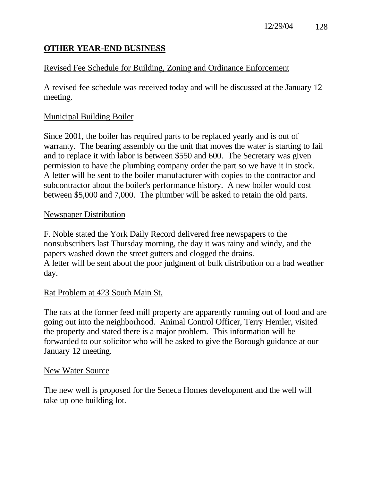# **OTHER YEAR-END BUSINESS**

# Revised Fee Schedule for Building, Zoning and Ordinance Enforcement

A revised fee schedule was received today and will be discussed at the January 12 meeting.

## Municipal Building Boiler

Since 2001, the boiler has required parts to be replaced yearly and is out of warranty. The bearing assembly on the unit that moves the water is starting to fail and to replace it with labor is between \$550 and 600. The Secretary was given permission to have the plumbing company order the part so we have it in stock. A letter will be sent to the boiler manufacturer with copies to the contractor and subcontractor about the boiler's performance history. A new boiler would cost between \$5,000 and 7,000. The plumber will be asked to retain the old parts.

## Newspaper Distribution

F. Noble stated the York Daily Record delivered free newspapers to the nonsubscribers last Thursday morning, the day it was rainy and windy, and the papers washed down the street gutters and clogged the drains. A letter will be sent about the poor judgment of bulk distribution on a bad weather day.

## Rat Problem at 423 South Main St.

The rats at the former feed mill property are apparently running out of food and are going out into the neighborhood. Animal Control Officer, Terry Hemler, visited the property and stated there is a major problem. This information will be forwarded to our solicitor who will be asked to give the Borough guidance at our January 12 meeting.

## New Water Source

The new well is proposed for the Seneca Homes development and the well will take up one building lot.